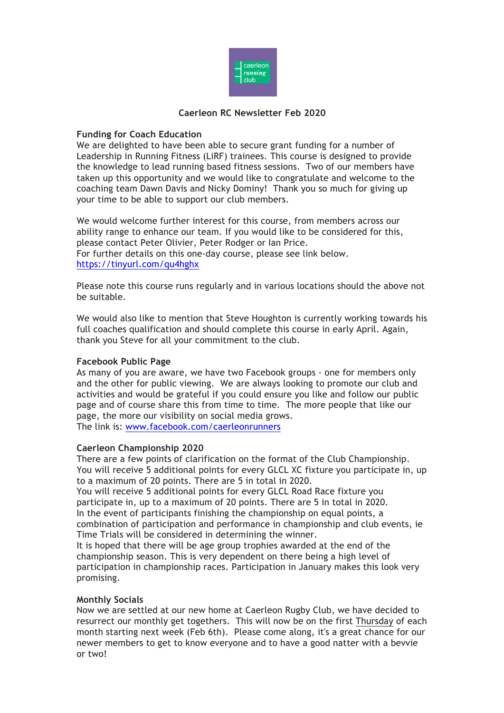

### **Caerleon RC Newsletter Feb 2020**

# **Funding for Coach Education**

We are delighted to have been able to secure grant funding for a number of Leadership in Running Fitness (LiRF) trainees. This course is designed to provide the knowledge to lead running based fitness sessions. Two of our members have taken up this opportunity and we would like to congratulate and welcome to the coaching team Dawn Davis and Nicky Dominy! Thank you so much for giving up your time to be able to support our club members.

We would welcome further interest for this course, from members across our ability range to enhance our team. If you would like to be considered for this, please contact Peter Olivier, Peter Rodger or Ian Price. For further details on this one-day course, please see link below. https://tinyurl.com/qu4hghx

Please note this course runs regularly and in various locations should the above not be suitable.

We would also like to mention that Steve Houghton is currently working towards his full coaches qualification and should complete this course in early April. Again, thank you Steve for all your commitment to the club.

### **Facebook Public Page**

As many of you are aware, we have two Facebook groups - one for members only and the other for public viewing. We are always looking to promote our club and activities and would be grateful if you could ensure you like and follow our public page and of course share this from time to time. The more people that like our page, the more our visibility on social media grows. The link is: www.facebook.com/caerleonrunners

### **Caerleon Championship 2020**

There are a few points of clarification on the format of the Club Championship. You will receive 5 additional points for every GLCL XC fixture you participate in, up to a maximum of 20 points. There are 5 in total in 2020.

You will receive 5 additional points for every GLCL Road Race fixture you participate in, up to a maximum of 20 points. There are 5 in total in 2020. In the event of participants finishing the championship on equal points, a combination of participation and performance in championship and club events, ie Time Trials will be considered in determining the winner.

It is hoped that there will be age group trophies awarded at the end of the championship season. This is very dependent on there being a high level of participation in championship races. Participation in January makes this look very promising.

### **Monthly Socials**

Now we are settled at our new home at Caerleon Rugby Club, we have decided to resurrect our monthly get togethers. This will now be on the first Thursday of each month starting next week (Feb 6th). Please come along, it's a great chance for our newer members to get to know everyone and to have a good natter with a bevvie or two!